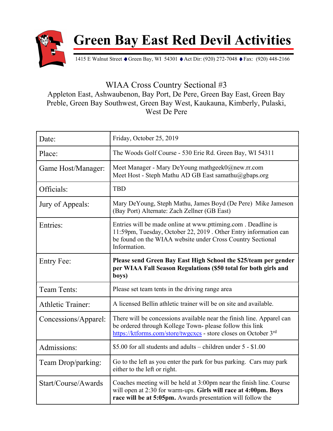

Green Bay East Red Devil Activities

1415 E Walnut Street • Green Bay, WI 54301 • Act Dir: (920) 272-7048 • Fax: (920) 448-2166

WIAA Cross Country Sectional #3

Appleton East, Ashwaubenon, Bay Port, De Pere, Green Bay East, Green Bay Preble, Green Bay Southwest, Green Bay West, Kaukauna, Kimberly, Pulaski, West De Pere

| Date:                    | Friday, October 25, 2019                                                                                                                                                                                         |
|--------------------------|------------------------------------------------------------------------------------------------------------------------------------------------------------------------------------------------------------------|
| Place:                   | The Woods Golf Course - 530 Erie Rd. Green Bay, WI 54311                                                                                                                                                         |
| Game Host/Manager:       | Meet Manager - Mary DeYoung mathgeek0@new.rr.com<br>Meet Host - Steph Mathu AD GB East samathu@gbaps.org                                                                                                         |
| Officials:               | <b>TBD</b>                                                                                                                                                                                                       |
| Jury of Appeals:         | Mary DeYoung, Steph Mathu, James Boyd (De Pere) Mike Jameson<br>(Bay Port) Alternate: Zach Zellner (GB East)                                                                                                     |
| Entries:                 | Entries will be made online at www.pttiming.com. Deadline is<br>11:59pm, Tuesday, October 22, 2019 . Other Entry information can<br>be found on the WIAA website under Cross Country Sectional<br>Information.   |
| <b>Entry Fee:</b>        | Please send Green Bay East High School the \$25/team per gender<br>per WIAA Fall Season Regulations (\$50 total for both girls and<br>boys)                                                                      |
| Team Tents:              | Please set team tents in the driving range area                                                                                                                                                                  |
| <b>Athletic Trainer:</b> | A licensed Bellin athletic trainer will be on site and available.                                                                                                                                                |
| Concessions/Apparel:     | There will be concessions available near the finish line. Apparel can<br>be ordered through Kollege Town- please follow this link<br>https://ktforms.com/store/twgcxcs - store closes on October 3 <sup>rd</sup> |
| Admissions:              | \$5.00 for all students and adults – children under $5 - 1.00$                                                                                                                                                   |
| Team Drop/parking:       | Go to the left as you enter the park for bus parking. Cars may park<br>either to the left or right.                                                                                                              |
| Start/Course/Awards      | Coaches meeting will be held at 3:00pm near the finish line. Course<br>will open at 2:30 for warm-ups. Girls will race at 4:00pm. Boys<br>race will be at 5:05pm. Awards presentation will follow the            |